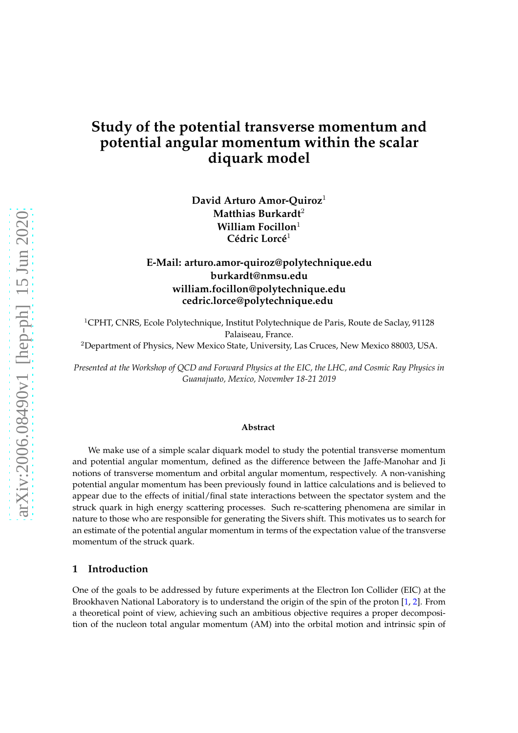# **Study of the potential transverse momentum and potential angular momentum within the scalar diquark model**

**David Arturo Amor-Quiroz**<sup>1</sup> **Matthias Burkardt**<sup>2</sup> **William Focillon**<sup>1</sup> **Cédric Lorcé**<sup>1</sup>

## **E-Mail: arturo.amor-quiroz@polytechnique.edu burkardt@nmsu.edu william.focillon@polytechnique.edu cedric.lorce@polytechnique.edu**

<sup>1</sup>CPHT, CNRS, Ecole Polytechnique, Institut Polytechnique de Paris, Route de Saclay, 91128 Palaiseau, France.

<sup>2</sup>Department of Physics, New Mexico State, University, Las Cruces, New Mexico 88003, USA.

*Presented at the Workshop of QCD and Forward Physics at the EIC, the LHC, and Cosmic Ray Physics in Guanajuato, Mexico, November 18-21 2019*

#### **Abstract**

We make use of a simple scalar diquark model to study the potential transverse momentum and potential angular momentum, defined as the difference between the Jaffe-Manohar and Ji notions of transverse momentum and orbital angular momentum, respectively. A non-vanishing potential angular momentum has been previously found in lattice calculations and is believed to appear due to the effects of initial/final state interactions between the spectator system and the struck quark in high energy scattering processes. Such re-scattering phenomena are similar in nature to those who are responsible for generating the Sivers shift. This motivates us to search for an estimate of the potential angular momentum in terms of the expectation value of the transverse momentum of the struck quark.

#### **1 Introduction**

One of the goals to be addressed by future experiments at the Electron Ion Collider (EIC) at the Brookhaven National Laboratory is to understand the origin of the spin of the proton [\[1](#page-6-0), [2](#page-6-1)]. From a theoretical point of view, achieving such an ambitious objective requires a proper decomposition of the nucleon total angular momentum (AM) into the orbital motion and intrinsic spin of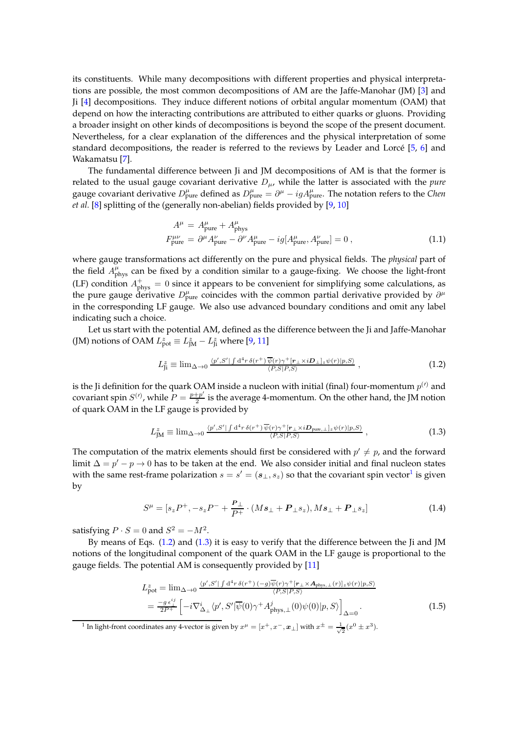its constituents. While many decompositions with different properties and physical interpretations are possible, the most common decompositions of AM are the Jaffe-Manohar (JM) [\[3\]](#page-6-2) and Ji [\[4](#page-6-3)] decompositions. They induce different notions of orbital angular momentum (OAM) that depend on how the interacting contributions are attributed to either quarks or gluons. Providing a broader insight on other kinds of decompositions is beyond the scope of the present document. Nevertheless, for a clear explanation of the differences and the physical interpretation of some standard decompositions, the reader is referred to the reviews by Leader and Lorcé [\[5,](#page-6-4) [6\]](#page-6-5) and Wakamatsu [\[7\]](#page-6-6).

The fundamental difference between Ji and JM decompositions of AM is that the former is related to the usual gauge covariant derivative  $D_{\mu}$ , while the latter is associated with the *pure* gauge covariant derivative  $D^\mu_{\text{pure}}$  defined as  $D^\mu_{\text{pure}} = \partial^\mu - igA^\mu_{\text{pure}}$ . The notation refers to the *Chen et al.* [\[8\]](#page-6-7) splitting of the (generally non-abelian) fields provided by [\[9,](#page-6-8) [10\]](#page-6-9)

$$
A^{\mu} = A^{\mu}_{\text{pure}} + A^{\mu}_{\text{phys}}
$$
  

$$
F^{\mu\nu}_{\text{pure}} = \partial^{\mu} A^{\nu}_{\text{pure}} - \partial^{\nu} A^{\mu}_{\text{pure}} - ig[A^{\mu}_{\text{pure}}, A^{\nu}_{\text{pure}}] = 0,
$$
 (1.1)

where gauge transformations act differently on the pure and physical fields. The *physical* part of the field  $A_{\text{phys}}^{\mu}$  can be fixed by a condition similar to a gauge-fixing. We choose the light-front (LF) condition  $A_{\text{phys}}^+ = 0$  since it appears to be convenient for simplifying some calculations, as the pure gauge derivative  $D_{pure}^{\mu}$  coincides with the common partial derivative provided by  $\partial^{\mu}$ in the corresponding LF gauge. We also use advanced boundary conditions and omit any label indicating such a choice.

Let us start with the potential AM, defined as the difference between the Ji and Jaffe-Manohar (JM) notions of OAM  $L_{\text{pot}}^z \equiv L_{\text{JM}}^z - L_{\text{ji}}^z$  where [\[9,](#page-6-8) [11\]](#page-6-10)

<span id="page-1-1"></span>
$$
L_{\rm ji}^{z} \equiv \lim_{\Delta \to 0} \frac{\langle p', S' | \int d^{4}r \,\delta(r^{+}) \,\overline{\psi}(r) \gamma^{+} [r_{\perp} \times iD_{\perp}]_{z} \psi(r) |p, S\rangle}{\langle P, S | P, S \rangle} \,, \tag{1.2}
$$

is the Ji definition for the quark OAM inside a nucleon with initial (final) four-momentum  $p^{(\prime)}$  and covariant spin  $S^{(l)}$ , while  $P = \frac{p+p'}{2}$  $\frac{p+p}{2}$  is the average 4-momentum. On the other hand, the JM notion of quark OAM in the LF gauge is provided by

<span id="page-1-2"></span>
$$
L_{\text{JM}}^z \equiv \lim_{\Delta \to 0} \frac{\langle p', S' | \int d^4 r \,\delta(r^+) \,\overline{\psi}(r) \gamma^+ [r_\perp \times i \mathbf{D}_{\text{pure},\perp}]_z \psi(r) | p, S \rangle}{\langle P, S | P, S \rangle} \,, \tag{1.3}
$$

The computation of the matrix elements should first be considered with  $p' \neq p$ , and the forward limit  $\Delta = p' - p \rightarrow 0$  has to be taken at the end. We also consider initial and final nucleon states with the same rest-frame polarization  $s = s' = (\mathbf{s}_{\perp}, s_z)$  so that the covariant spin vector<sup>[1](#page-1-0)</sup> is given by

$$
S^{\mu} = [s_z P^+, -s_z P^- + \frac{P_{\perp}}{P^+} \cdot (M s_{\perp} + P_{\perp} s_z), M s_{\perp} + P_{\perp} s_z]
$$
(1.4)

satisfying  $P \cdot S = 0$  and  $S^2 = -M^2$ .

By means of Eqs. [\(1.2\)](#page-1-1) and [\(1.3\)](#page-1-2) it is easy to verify that the difference between the Ji and JM notions of the longitudinal component of the quark OAM in the LF gauge is proportional to the gauge fields. The potential AM is consequently provided by [\[11\]](#page-6-10)

<span id="page-1-3"></span>
$$
L_{\text{pot}}^{z} = \lim_{\Delta \to 0} \frac{\langle p', S' | \int d^{4}r \,\delta(r^{+}) \, (-g) \overline{\psi}(r) \gamma^{+} [r_{\perp} \times \mathbf{A}_{\text{phys},\perp}(r)]_{z} \psi(r) |p, S \rangle}{\langle P, S | P, S \rangle}
$$
\n
$$
= \frac{-g \,\epsilon_{\perp}^{i}}{2P^{+}} \left[ -i \nabla_{\Delta_{\perp}}^{i} \langle p', S' | \overline{\psi}(0) \gamma^{+} A_{\text{phys},\perp}^{j}(0) \psi(0) |p, S \rangle \right]_{\Delta=0}.
$$
\n(1.5)

<span id="page-1-0"></span><sup>1</sup> In light-front coordinates any 4-vector is given by  $x^{\mu} = [x^+, x^-, \boldsymbol{x}_\perp]$  with  $x^{\pm} = \frac{1}{\sqrt{2}}(x^0 \pm x^3)$ .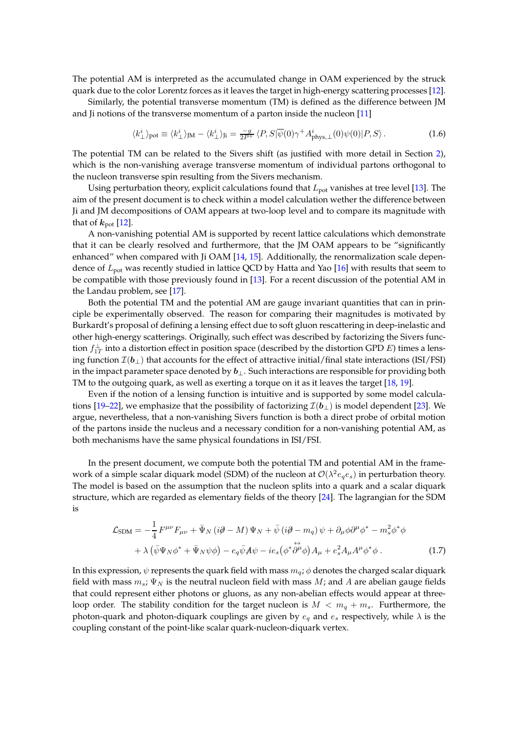The potential AM is interpreted as the accumulated change in OAM experienced by the struck quark due to the color Lorentz forces as it leaves the target in high-energy scattering processes [\[12](#page-6-11)].

Similarly, the potential transverse momentum (TM) is defined as the difference between JM and Ji notions of the transverse momentum of a parton inside the nucleon [\[11\]](#page-6-10)

$$
\langle k_{\perp}^{i} \rangle_{\text{pot}} \equiv \langle k_{\perp}^{i} \rangle_{\text{JM}} - \langle k_{\perp}^{i} \rangle_{\text{J}i} = \frac{-g}{2P^{+}} \langle P, S | \overline{\psi}(0) \gamma^{+} A_{\text{phys},\perp}^{i}(0) \psi(0) | P, S \rangle. \tag{1.6}
$$

The potential TM can be related to the Sivers shift (as justified with more detail in Section [2\)](#page-3-0), which is the non-vanishing average transverse momentum of individual partons orthogonal to the nucleon transverse spin resulting from the Sivers mechanism.

Using perturbation theory, explicit calculations found that  $L_{pot}$  vanishes at tree level [\[13](#page-6-12)]. The aim of the present document is to check within a model calculation wether the difference between Ji and JM decompositions of OAM appears at two-loop level and to compare its magnitude with that of  $k_{\text{pot}}$  [\[12](#page-6-11)].

A non-vanishing potential AM is supported by recent lattice calculations which demonstrate that it can be clearly resolved and furthermore, that the JM OAM appears to be "significantly enhanced" when compared with Ji OAM [\[14](#page-6-13), [15\]](#page-6-14). Additionally, the renormalization scale dependence of  $L_{pot}$  was recently studied in lattice QCD by Hatta and Yao [\[16\]](#page-6-15) with results that seem to be compatible with those previously found in [\[13\]](#page-6-12). For a recent discussion of the potential AM in the Landau problem, see [\[17\]](#page-6-16).

Both the potential TM and the potential AM are gauge invariant quantities that can in principle be experimentally observed. The reason for comparing their magnitudes is motivated by Burkardt's proposal of defining a lensing effect due to soft gluon rescattering in deep-inelastic and other high-energy scatterings. Originally, such effect was described by factorizing the Sivers function  $f_{1T}^\perp$  into a distortion effect in position space (described by the distortion GPD  $E$ ) times a lensing function  $\mathcal{I}(\boldsymbol{b}_\perp)$  that accounts for the effect of attractive initial/final state interactions (ISI/FSI) in the impact parameter space denoted by  $b_{\perp}$ . Such interactions are responsible for providing both TM to the outgoing quark, as well as exerting a torque on it as it leaves the target [\[18,](#page-6-17) [19\]](#page-6-18).

Even if the notion of a lensing function is intuitive and is supported by some model calcula-tions [\[19](#page-6-18)[–22\]](#page-7-0), we emphasize that the possibility of factorizing  $\mathcal{I}(b_{\perp})$  is model dependent [\[23\]](#page-7-1). We argue, nevertheless, that a non-vanishing Sivers function is both a direct probe of orbital motion of the partons inside the nucleus and a necessary condition for a non-vanishing potential AM, as both mechanisms have the same physical foundations in ISI/FSI.

In the present document, we compute both the potential TM and potential AM in the framework of a simple scalar diquark model (SDM) of the nucleon at  $\mathcal{O}(\lambda^2 e_q e_s)$  in perturbation theory. The model is based on the assumption that the nucleon splits into a quark and a scalar diquark structure, which are regarded as elementary fields of the theory [\[24](#page-7-2)]. The lagrangian for the SDM is

$$
\mathcal{L}_{\text{SDM}} = -\frac{1}{4} F^{\mu\nu} F_{\mu\nu} + \bar{\Psi}_N \left( i\partial - M \right) \Psi_N + \bar{\psi} \left( i\partial - m_q \right) \psi + \partial_\mu \phi \partial^\mu \phi^* - m_s^2 \phi^* \phi + \lambda \left( \bar{\psi} \Psi_N \phi^* + \bar{\Psi}_N \psi \phi \right) - e_q \bar{\psi} A \psi - ie_s \left( \phi^* \partial^\mu \phi \right) A_\mu + e_s^2 A_\mu A^\mu \phi^* \phi .
$$
 (1.7)

In this expression,  $\psi$  represents the quark field with mass  $m_q$ ;  $\phi$  denotes the charged scalar diquark field with mass  $m_s$ ;  $\Psi_N$  is the neutral nucleon field with mass M; and A are abelian gauge fields that could represent either photons or gluons, as any non-abelian effects would appear at threeloop order. The stability condition for the target nucleon is  $M < m_a + m_s$ . Furthermore, the photon-quark and photon-diquark couplings are given by  $e_q$  and  $e_s$  respectively, while  $\lambda$  is the coupling constant of the point-like scalar quark-nucleon-diquark vertex.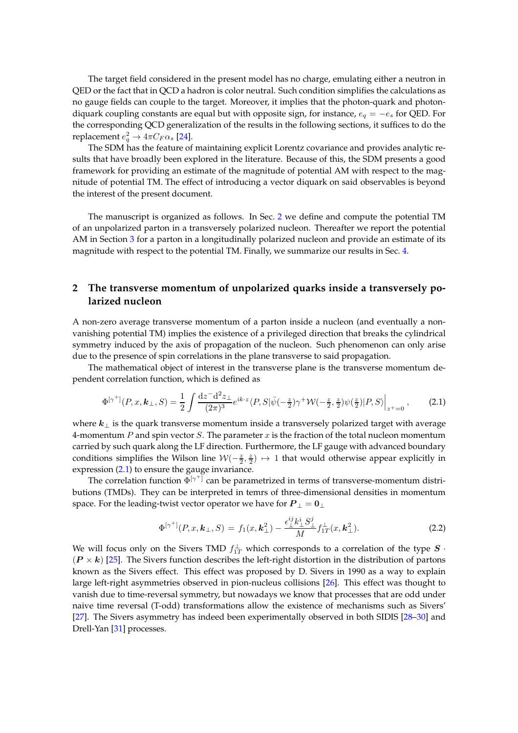The target field considered in the present model has no charge, emulating either a neutron in QED or the fact that in QCD a hadron is color neutral. Such condition simplifies the calculations as no gauge fields can couple to the target. Moreover, it implies that the photon-quark and photondiquark coupling constants are equal but with opposite sign, for instance,  $e_q = -e_s$  for QED. For the corresponding QCD generalization of the results in the following sections, it suffices to do the replacement  $e_q^2 \rightarrow 4 \pi C_F \alpha_s$  [\[24\]](#page-7-2).

The SDM has the feature of maintaining explicit Lorentz covariance and provides analytic results that have broadly been explored in the literature. Because of this, the SDM presents a good framework for providing an estimate of the magnitude of potential AM with respect to the magnitude of potential TM. The effect of introducing a vector diquark on said observables is beyond the interest of the present document.

The manuscript is organized as follows. In Sec. [2](#page-3-0) we define and compute the potential TM of an unpolarized parton in a transversely polarized nucleon. Thereafter we report the potential AM in Section [3](#page-5-0) for a parton in a longitudinally polarized nucleon and provide an estimate of its magnitude with respect to the potential TM. Finally, we summarize our results in Sec. [4.](#page-6-19)

## <span id="page-3-0"></span>**2 The transverse momentum of unpolarized quarks inside a transversely polarized nucleon**

A non-zero average transverse momentum of a parton inside a nucleon (and eventually a nonvanishing potential TM) implies the existence of a privileged direction that breaks the cylindrical symmetry induced by the axis of propagation of the nucleon. Such phenomenon can only arise due to the presence of spin correlations in the plane transverse to said propagation.

The mathematical object of interest in the transverse plane is the transverse momentum dependent correlation function, which is defined as

<span id="page-3-1"></span>
$$
\Phi^{[\gamma^+]}(P,x,\mathbf{k}_\perp,S) = \frac{1}{2} \int \frac{\mathrm{d}z \mathrm{d}^2 z_\perp}{(2\pi)^3} e^{ik \cdot z} \langle P, S | \bar{\psi}(-\frac{z}{2}) \gamma^+ \mathcal{W}(-\frac{z}{2}, \frac{z}{2}) \psi(\frac{z}{2}) | P, S \rangle \Big|_{z^+ = 0},\tag{2.1}
$$

where  $k_{\perp}$  is the quark transverse momentum inside a transversely polarized target with average 4-momentum  $P$  and spin vector  $S$ . The parameter  $x$  is the fraction of the total nucleon momentum carried by such quark along the LF direction. Furthermore, the LF gauge with advanced boundary conditions simplifies the Wilson line  $W(-\frac{z}{2},\frac{z}{2}) \mapsto 1$  that would otherwise appear explicitly in expression [\(2.1\)](#page-3-1) to ensure the gauge invariance.

The correlation function  $\Phi^{[\gamma^+]}$  can be parametrized in terms of transverse-momentum distributions (TMDs). They can be interpreted in temrs of three-dimensional densities in momentum space. For the leading-twist vector operator we have for  $\boldsymbol{P}_\perp = \boldsymbol{0}_\perp$ 

$$
\Phi^{[\gamma^+]}(P,x,\mathbf{k}_\perp,S) = f_1(x,\mathbf{k}_\perp^2) - \frac{\epsilon_\perp^{ij} k_\perp^i S_\perp^j}{M} f_{1T}^\perp(x,\mathbf{k}_\perp^2). \tag{2.2}
$$

We will focus only on the Sivers TMD  $f_{1T}^\perp$  which corresponds to a correlation of the type  $\bm{S}$   $\cdot$  $(P \times k)$  [\[25](#page-7-3)]. The Sivers function describes the left-right distortion in the distribution of partons known as the Sivers effect. This effect was proposed by D. Sivers in 1990 as a way to explain large left-right asymmetries observed in pion-nucleus collisions [\[26](#page-7-4)]. This effect was thought to vanish due to time-reversal symmetry, but nowadays we know that processes that are odd under naive time reversal (T-odd) transformations allow the existence of mechanisms such as Sivers' [\[27\]](#page-7-5). The Sivers asymmetry has indeed been experimentally observed in both SIDIS [\[28](#page-7-6)[–30\]](#page-7-7) and Drell-Yan [\[31](#page-7-8)] processes.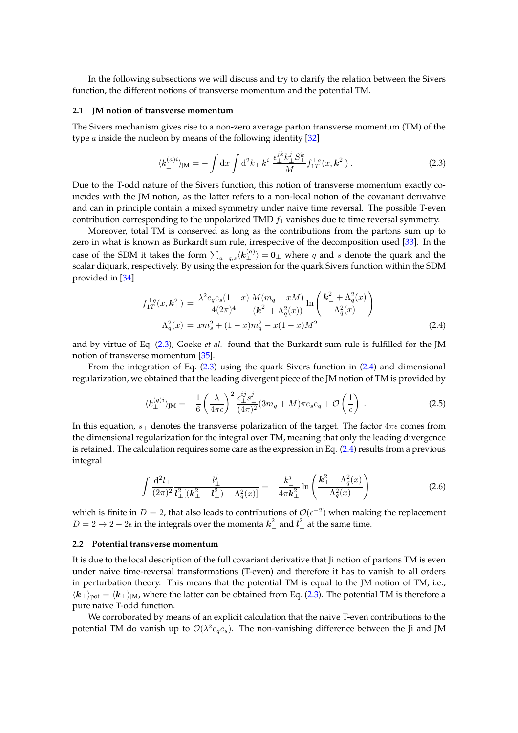In the following subsections we will discuss and try to clarify the relation between the Sivers function, the different notions of transverse momentum and the potential TM.

#### **2.1 JM notion of transverse momentum**

The Sivers mechanism gives rise to a non-zero average parton transverse momentum (TM) of the type  $a$  inside the nucleon by means of the following identity  $[32]$ 

<span id="page-4-0"></span>
$$
\langle k_{\perp}^{(a)i} \rangle_{\text{JM}} = -\int \mathrm{d}x \int \mathrm{d}^2 k_{\perp} k_{\perp}^i \frac{\epsilon_{\perp}^{jk} k_{\perp}^j S_{\perp}^k}{M} f_{1T}^{\perp a}(x, \mathbf{k}_{\perp}^2) \,. \tag{2.3}
$$

Due to the T-odd nature of the Sivers function, this notion of transverse momentum exactly coincides with the JM notion, as the latter refers to a non-local notion of the covariant derivative and can in principle contain a mixed symmetry under naive time reversal. The possible T-even contribution corresponding to the unpolarized TMD  $f_1$  vanishes due to time reversal symmetry.

Moreover, total TM is conserved as long as the contributions from the partons sum up to zero in what is known as Burkardt sum rule, irrespective of the decomposition used [\[33\]](#page-7-10). In the case of the SDM it takes the form  $\sum_{a=q,s}\langle \boldsymbol{k}_{\perp}^{(a)}\rangle = \boldsymbol{0}_{\perp}$  where  $q$  and  $s$  denote the quark and the scalar diquark, respectively. By using the expression for the quark Sivers function within the SDM provided in [\[34\]](#page-7-11)

<span id="page-4-1"></span>
$$
f_{1T}^{\perp q}(x, \mathbf{k}_{\perp}^2) = \frac{\lambda^2 e_q e_s (1-x)}{4(2\pi)^4} \frac{M(m_q + xM)}{(\mathbf{k}_{\perp}^2 + \Lambda_q^2(x))} \ln\left(\frac{\mathbf{k}_{\perp}^2 + \Lambda_q^2(x)}{\Lambda_q^2(x)}\right)
$$

$$
\Lambda_q^2(x) = x m_s^2 + (1-x) m_q^2 - x(1-x) M^2
$$
(2.4)

and by virtue of Eq. [\(2.3\)](#page-4-0), Goeke *et al.* found that the Burkardt sum rule is fulfilled for the JM notion of transverse momentum [\[35](#page-7-12)].

From the integration of Eq. [\(2.3\)](#page-4-0) using the quark Sivers function in [\(2.4\)](#page-4-1) and dimensional regularization, we obtained that the leading divergent piece of the JM notion of TM is provided by

<span id="page-4-2"></span>
$$
\langle k_{\perp}^{(q)i} \rangle_{JM} = -\frac{1}{6} \left( \frac{\lambda}{4\pi\epsilon} \right)^2 \frac{\epsilon_{\perp}^{ij} s_{\perp}^j}{(4\pi)^2} (3m_q + M)\pi e_s e_q + \mathcal{O}\left(\frac{1}{\epsilon}\right) . \tag{2.5}
$$

In this equation,  $s_{\perp}$  denotes the transverse polarization of the target. The factor  $4\pi\epsilon$  comes from the dimensional regularization for the integral over TM, meaning that only the leading divergence is retained. The calculation requires some care as the expression in Eq. [\(2.4\)](#page-4-1) results from a previous integral

$$
\int \frac{\mathrm{d}^2 l_{\perp}}{(2\pi)^2} \frac{l_{\perp}^j}{l_{\perp}^2 [(\mathbf{k}_{\perp}^2 + l_{\perp}^2) + \Lambda_q^2(x)]} = -\frac{k_{\perp}^j}{4\pi k_{\perp}^2} \ln\left(\frac{k_{\perp}^2 + \Lambda_q^2(x)}{\Lambda_q^2(x)}\right) \tag{2.6}
$$

which is finite in  $D=2$ , that also leads to contributions of  $\mathcal{O}(\epsilon^{-2})$  when making the replacement  $D=2\rightarrow 2-2\epsilon$  in the integrals over the momenta  $\bm{k}_{\perp}^2$  and  $\bm{l}_{\perp}^2$  at the same time.

#### **2.2 Potential transverse momentum**

It is due to the local description of the full covariant derivative that Ji notion of partons TM is even under naive time-reversal transformations (T-even) and therefore it has to vanish to all orders in perturbation theory. This means that the potential TM is equal to the JM notion of TM, i.e.,  $\langle k_{\perp}\rangle_{pot} = \langle k_{\perp}\rangle_{IM}$ , where the latter can be obtained from Eq. [\(2.3\)](#page-4-0). The potential TM is therefore a pure naive T-odd function.

We corroborated by means of an explicit calculation that the naive T-even contributions to the potential TM do vanish up to  $\mathcal{O}(\lambda^2 e_q e_s)$ . The non-vanishing difference between the Ji and JM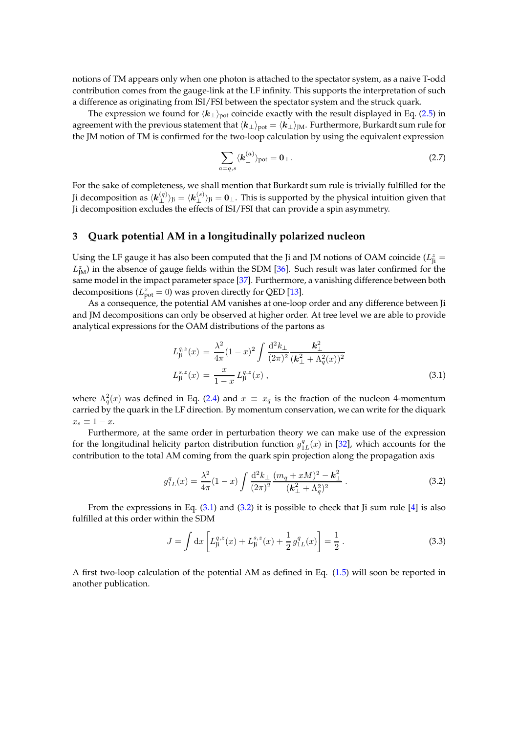notions of TM appears only when one photon is attached to the spectator system, as a naive T-odd contribution comes from the gauge-link at the LF infinity. This supports the interpretation of such a difference as originating from ISI/FSI between the spectator system and the struck quark.

The expression we found for  $\langle k_{\perp}\rangle_{\text{pot}}$  coincide exactly with the result displayed in Eq. [\(2.5\)](#page-4-2) in agreement with the previous statement that  $\langle k_\perp\rangle_{\text{pot}} = \langle k_\perp\rangle_{\text{JM}}$ . Furthermore, Burkardt sum rule for the JM notion of TM is confirmed for the two-loop calculation by using the equivalent expression

$$
\sum_{a=q,s} \langle \mathbf{k}_{\perp}^{(a)} \rangle_{\text{pot}} = \mathbf{0}_{\perp}.
$$
 (2.7)

For the sake of completeness, we shall mention that Burkardt sum rule is trivially fulfilled for the Ji decomposition as  $\langle \bm{k}_{\perp}^{(q)} \rangle_{\rm Ji}=\langle \bm{k}_{\perp}^{(s)} \rangle_{\rm Ji}=0$  . This is supported by the physical intuition given that Ji decomposition excludes the effects of ISI/FSI that can provide a spin asymmetry.

#### <span id="page-5-0"></span>**3 Quark potential AM in a longitudinally polarized nucleon**

Using the LF gauge it has also been computed that the Ji and JM notions of OAM coincide ( $L_{\text{ji}}^z$  =  $L^z_{\rm JM}$ ) in the absence of gauge fields within the SDM [\[36\]](#page-7-13). Such result was later confirmed for the same model in the impact parameter space [\[37\]](#page-7-14). Furthermore, a vanishing difference between both decompositions ( $L^z_{pot} = 0$ ) was proven directly for QED [\[13](#page-6-12)].

As a consequence, the potential AM vanishes at one-loop order and any difference between Ji and JM decompositions can only be observed at higher order. At tree level we are able to provide analytical expressions for the OAM distributions of the partons as

<span id="page-5-1"></span>
$$
L_{\rm ji}^{q,z}(x) = \frac{\lambda^2}{4\pi} (1-x)^2 \int \frac{\mathrm{d}^2 k_{\perp}}{(2\pi)^2} \frac{\mathbf{k}_{\perp}^2}{(\mathbf{k}_{\perp}^2 + \Lambda_q^2(x))^2}
$$
  

$$
L_{\rm ji}^{s,z}(x) = \frac{x}{1-x} L_{\rm ji}^{q,z}(x) , \qquad (3.1)
$$

where  $\Lambda_q^2(x)$  was defined in Eq. [\(2.4\)](#page-4-1) and  $x \equiv x_q$  is the fraction of the nucleon 4-momentum carried by the quark in the LF direction. By momentum conservation, we can write for the diquark  $x_s \equiv 1-x.$ 

Furthermore, at the same order in perturbation theory we can make use of the expression for the longitudinal helicity parton distribution function  $g_{1L}^q(x)$  in [\[32\]](#page-7-9), which accounts for the contribution to the total AM coming from the quark spin projection along the propagation axis

<span id="page-5-2"></span>
$$
g_{1L}^q(x) = \frac{\lambda^2}{4\pi} (1-x) \int \frac{\mathrm{d}^2 k_{\perp}}{(2\pi)^2} \frac{(m_q + xM)^2 - \mathbf{k}_{\perp}^2}{(\mathbf{k}_{\perp}^2 + \Lambda_q^2)^2} \,. \tag{3.2}
$$

From the expressions in Eq.  $(3.1)$  and  $(3.2)$  it is possible to check that Ji sum rule  $[4]$  is also fulfilled at this order within the SDM

$$
J = \int dx \left[ L_{\rm ji}^{q,z}(x) + L_{\rm ji}^{s,z}(x) + \frac{1}{2} g_{1L}^q(x) \right] = \frac{1}{2} \,. \tag{3.3}
$$

A first two-loop calculation of the potential AM as defined in Eq. [\(1.5\)](#page-1-3) will soon be reported in another publication.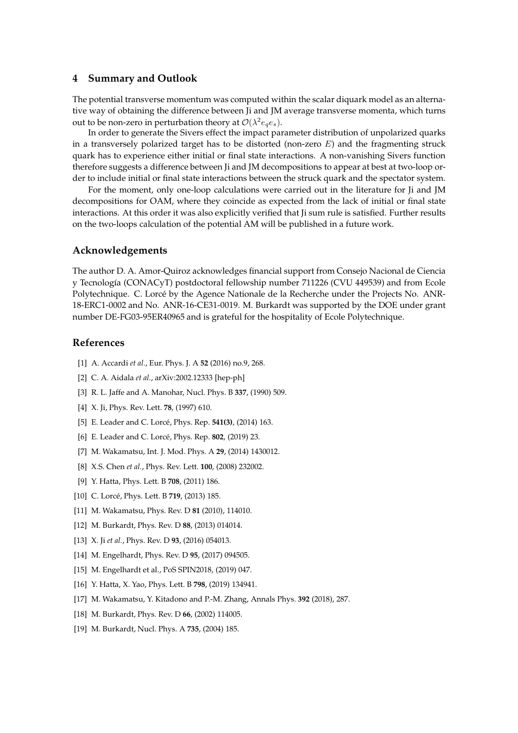#### <span id="page-6-19"></span>**4 Summary and Outlook**

The potential transverse momentum was computed within the scalar diquark model as an alternative way of obtaining the difference between Ji and JM average transverse momenta, which turns out to be non-zero in perturbation theory at  $\mathcal{O}(\lambda^2 e_q e_s)$ .

In order to generate the Sivers effect the impact parameter distribution of unpolarized quarks in a transversely polarized target has to be distorted (non-zero  $E$ ) and the fragmenting struck quark has to experience either initial or final state interactions. A non-vanishing Sivers function therefore suggests a difference between Ji and JM decompositions to appear at best at two-loop order to include initial or final state interactions between the struck quark and the spectator system.

For the moment, only one-loop calculations were carried out in the literature for Ji and JM decompositions for OAM, where they coincide as expected from the lack of initial or final state interactions. At this order it was also explicitly verified that Ji sum rule is satisfied. Further results on the two-loops calculation of the potential AM will be published in a future work.

#### **Acknowledgements**

The author D. A. Amor-Quiroz acknowledges financial support from Consejo Nacional de Ciencia y Tecnología (CONACyT) postdoctoral fellowship number 711226 (CVU 449539) and from Ecole Polytechnique. C. Lorcé by the Agence Nationale de la Recherche under the Projects No. ANR-18-ERC1-0002 and No. ANR-16-CE31-0019. M. Burkardt was supported by the DOE under grant number DE-FG03-95ER40965 and is grateful for the hospitality of Ecole Polytechnique.

### **References**

- <span id="page-6-0"></span>[1] A. Accardi *et al.*, Eur. Phys. J. A **52** (2016) no.9, 268.
- <span id="page-6-1"></span>[2] C. A. Aidala *et al.*, arXiv:2002.12333 [hep-ph]
- <span id="page-6-2"></span>[3] R. L. Jaffe and A. Manohar, Nucl. Phys. B **337**, (1990) 509.
- <span id="page-6-3"></span>[4] X. Ji, Phys. Rev. Lett. **78**, (1997) 610.
- <span id="page-6-4"></span>[5] E. Leader and C. Lorcé, Phys. Rep. **541(3)**, (2014) 163.
- <span id="page-6-5"></span>[6] E. Leader and C. Lorcé, Phys. Rep. **802**, (2019) 23.
- <span id="page-6-6"></span>[7] M. Wakamatsu, Int. J. Mod. Phys. A **29**, (2014) 1430012.
- <span id="page-6-7"></span>[8] X.S. Chen *et al.*, Phys. Rev. Lett. **100**, (2008) 232002.
- <span id="page-6-8"></span>[9] Y. Hatta, Phys. Lett. B **708**, (2011) 186.
- <span id="page-6-9"></span>[10] C. Lorcé, Phys. Lett. B **719**, (2013) 185.
- <span id="page-6-10"></span>[11] M. Wakamatsu, Phys. Rev. D **81** (2010), 114010.
- <span id="page-6-11"></span>[12] M. Burkardt, Phys. Rev. D **88**, (2013) 014014.
- <span id="page-6-12"></span>[13] X. Ji *et al.*, Phys. Rev. D **93**, (2016) 054013.
- <span id="page-6-13"></span>[14] M. Engelhardt, Phys. Rev. D **95**, (2017) 094505.
- <span id="page-6-14"></span>[15] M. Engelhardt et al., PoS SPIN2018, (2019) 047.
- <span id="page-6-15"></span>[16] Y. Hatta, X. Yao, Phys. Lett. B **798**, (2019) 134941.
- <span id="page-6-16"></span>[17] M. Wakamatsu, Y. Kitadono and P.-M. Zhang, Annals Phys. **392** (2018), 287.
- <span id="page-6-17"></span>[18] M. Burkardt, Phys. Rev. D **66**, (2002) 114005.
- <span id="page-6-18"></span>[19] M. Burkardt, Nucl. Phys. A **735**, (2004) 185.